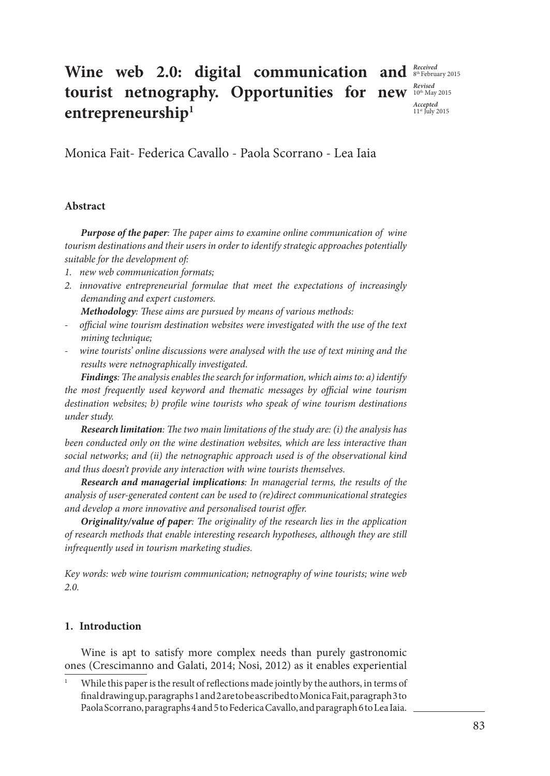# **Wine web 2.0: digital communication and**  $\frac{Received}{s^{\text{the circular}}$  2015 **tourist netnography. Opportunities for new** *Revised* **2015 entrepreneurship1**

*Accepted* 11st July 2015

Monica Fait- Federica Cavallo - Paola Scorrano - Lea Iaia

## **Abstract**

*Purpose of the paper: The paper aims to examine online communication of wine tourism destinations and their users in order to identify strategic approaches potentially suitable for the development of:* 

- *1. new web communication formats;*
- *2. innovative entrepreneurial formulae that meet the expectations of increasingly demanding and expert customers.*

*Methodology: These aims are pursued by means of various methods:*

- *- official wine tourism destination websites were investigated with the use of the text mining technique;*
- *- wine tourists' online discussions were analysed with the use of text mining and the results were netnographically investigated.*

*Findings: The analysis enables the search for information, which aims to: a) identify the most frequently used keyword and thematic messages by official wine tourism destination websites; b) profile wine tourists who speak of wine tourism destinations under study.*

*Research limitation: The two main limitations of the study are: (i) the analysis has been conducted only on the wine destination websites, which are less interactive than social networks; and (ii) the netnographic approach used is of the observational kind and thus doesn't provide any interaction with wine tourists themselves.*

*Research and managerial implications: In managerial terms, the results of the analysis of user-generated content can be used to (re)direct communicational strategies and develop a more innovative and personalised tourist offer.*

*Originality/value of paper: The originality of the research lies in the application of research methods that enable interesting research hypotheses, although they are still infrequently used in tourism marketing studies.*

*Key words: web wine tourism communication; netnography of wine tourists; wine web 2.0.*

## **1. Introduction**

Wine is apt to satisfy more complex needs than purely gastronomic ones (Crescimanno and Galati, 2014; Nosi, 2012) as it enables experiential

While this paper is the result of reflections made jointly by the authors, in terms of final drawing up, paragraphs 1 and 2 are to be ascribed to Monica Fait, paragraph 3 to Paola Scorrano, paragraphs 4 and 5 to Federica Cavallo, and paragraph 6 to Lea Iaia.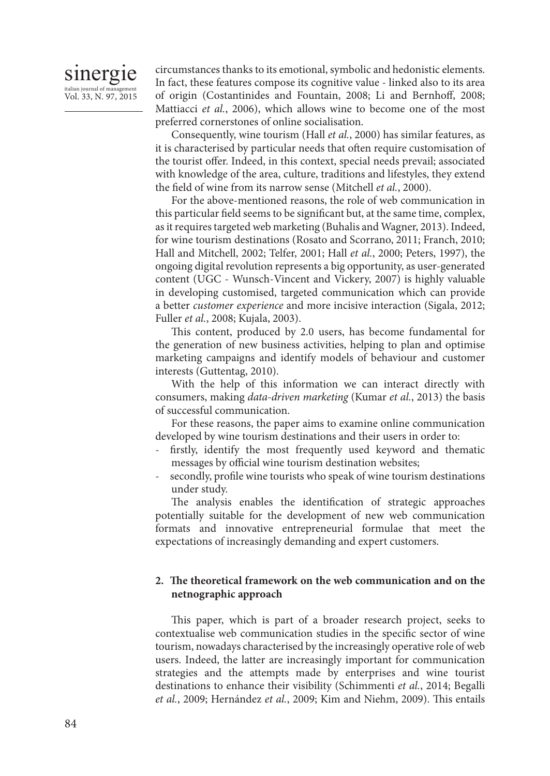# sinergie italian journal of management Vol. 33, N. 97, 2015

circumstances thanks to its emotional, symbolic and hedonistic elements. In fact, these features compose its cognitive value - linked also to its area of origin (Costantinides and Fountain, 2008; Li and Bernhoff, 2008; Mattiacci *et al.*, 2006), which allows wine to become one of the most preferred cornerstones of online socialisation.

Consequently, wine tourism (Hall *et al.*, 2000) has similar features, as it is characterised by particular needs that often require customisation of the tourist offer. Indeed, in this context, special needs prevail; associated with knowledge of the area, culture, traditions and lifestyles, they extend the field of wine from its narrow sense (Mitchell *et al.*, 2000).

For the above-mentioned reasons, the role of web communication in this particular field seems to be significant but, at the same time, complex, as it requires targeted web marketing (Buhalis and Wagner, 2013). Indeed, for wine tourism destinations (Rosato and Scorrano, 2011; Franch, 2010; Hall and Mitchell, 2002; Telfer, 2001; Hall *et al.*, 2000; Peters, 1997), the ongoing digital revolution represents a big opportunity, as user-generated content (UGC - Wunsch-Vincent and Vickery, 2007) is highly valuable in developing customised, targeted communication which can provide a better *customer experience* and more incisive interaction (Sigala, 2012; Fuller *et al.*, 2008; Kujala, 2003).

This content, produced by 2.0 users, has become fundamental for the generation of new business activities, helping to plan and optimise marketing campaigns and identify models of behaviour and customer interests (Guttentag, 2010).

With the help of this information we can interact directly with consumers, making *data-driven marketing* (Kumar *et al.*, 2013) the basis of successful communication.

For these reasons, the paper aims to examine online communication developed by wine tourism destinations and their users in order to:

- firstly, identify the most frequently used keyword and thematic messages by official wine tourism destination websites;
- secondly, profile wine tourists who speak of wine tourism destinations under study.

The analysis enables the identification of strategic approaches potentially suitable for the development of new web communication formats and innovative entrepreneurial formulae that meet the expectations of increasingly demanding and expert customers.

#### **2. The theoretical framework on the web communication and on the netnographic approach**

This paper, which is part of a broader research project, seeks to contextualise web communication studies in the specific sector of wine tourism, nowadays characterised by the increasingly operative role of web users. Indeed, the latter are increasingly important for communication strategies and the attempts made by enterprises and wine tourist destinations to enhance their visibility (Schimmenti *et al.*, 2014; Begalli *et al.*, 2009; Hernández *et al.*, 2009; Kim and Niehm, 2009). This entails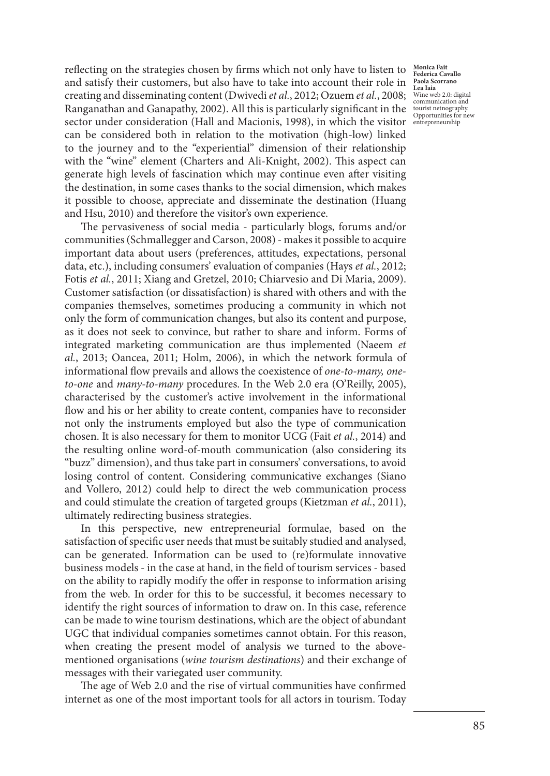sector under consideration (Hall and Macionis, 1998), in which the visitor entrepreneurship reflecting on the strategies chosen by firms which not only have to listen to and satisfy their customers, but also have to take into account their role in creating and disseminating content (Dwivedi *et al.*, 2012; Ozuem *et al.*, 2008; Ranganathan and Ganapathy, 2002). All this is particularly significant in the can be considered both in relation to the motivation (high-low) linked to the journey and to the "experiential" dimension of their relationship with the "wine" element (Charters and Ali-Knight, 2002). This aspect can generate high levels of fascination which may continue even after visiting the destination, in some cases thanks to the social dimension, which makes it possible to choose, appreciate and disseminate the destination (Huang and Hsu, 2010) and therefore the visitor's own experience.

The pervasiveness of social media - particularly blogs, forums and/or communities (Schmallegger and Carson, 2008) - makes it possible to acquire important data about users (preferences, attitudes, expectations, personal data, etc.), including consumers' evaluation of companies (Hays *et al.*, 2012; Fotis *et al.*, 2011; Xiang and Gretzel, 2010; Chiarvesio and Di Maria, 2009). Customer satisfaction (or dissatisfaction) is shared with others and with the companies themselves, sometimes producing a community in which not only the form of communication changes, but also its content and purpose, as it does not seek to convince, but rather to share and inform. Forms of integrated marketing communication are thus implemented (Naeem *et al.*, 2013; Oancea, 2011; Holm, 2006), in which the network formula of informational flow prevails and allows the coexistence of *one-to-many, oneto-one* and *many-to-many* procedures. In the Web 2.0 era (O'Reilly, 2005), characterised by the customer's active involvement in the informational flow and his or her ability to create content, companies have to reconsider not only the instruments employed but also the type of communication chosen. It is also necessary for them to monitor UCG (Fait *et al.*, 2014) and the resulting online word-of-mouth communication (also considering its "buzz" dimension), and thus take part in consumers' conversations, to avoid losing control of content. Considering communicative exchanges (Siano and Vollero, 2012) could help to direct the web communication process and could stimulate the creation of targeted groups (Kietzman *et al.*, 2011), ultimately redirecting business strategies.

In this perspective, new entrepreneurial formulae, based on the satisfaction of specific user needs that must be suitably studied and analysed, can be generated. Information can be used to (re)formulate innovative business models - in the case at hand, in the field of tourism services - based on the ability to rapidly modify the offer in response to information arising from the web. In order for this to be successful, it becomes necessary to identify the right sources of information to draw on. In this case, reference can be made to wine tourism destinations, which are the object of abundant UGC that individual companies sometimes cannot obtain. For this reason, when creating the present model of analysis we turned to the abovementioned organisations (*wine tourism destinations*) and their exchange of messages with their variegated user community.

The age of Web 2.0 and the rise of virtual communities have confirmed internet as one of the most important tools for all actors in tourism. Today

**Monica Fait Federica Cavallo Paola Scorrano Lea Iaia** Wine web 2.0: digital communication and tourist netnography. Opportunities for new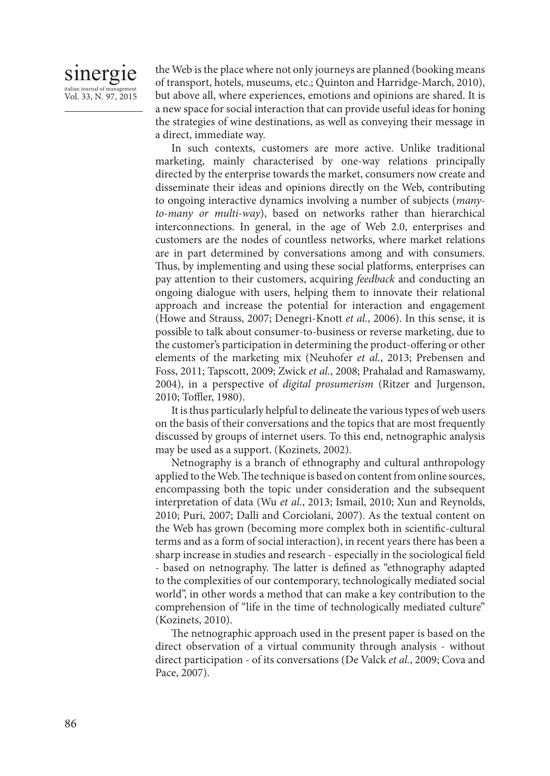# sinergie italian journal of management Vol. 33, N. 97, 2015

the Web is the place where not only journeys are planned (booking means of transport, hotels, museums, etc.; Quinton and Harridge-March, 2010), but above all, where experiences, emotions and opinions are shared. It is a new space for social interaction that can provide useful ideas for honing the strategies of wine destinations, as well as conveying their message in a direct, immediate way.

In such contexts, customers are more active. Unlike traditional marketing, mainly characterised by one-way relations principally directed by the enterprise towards the market, consumers now create and disseminate their ideas and opinions directly on the Web, contributing to ongoing interactive dynamics involving a number of subjects (*manyto-many or multi-way*), based on networks rather than hierarchical interconnections. In general, in the age of Web 2.0, enterprises and customers are the nodes of countless networks, where market relations are in part determined by conversations among and with consumers. Thus, by implementing and using these social platforms, enterprises can pay attention to their customers, acquiring *feedback* and conducting an ongoing dialogue with users, helping them to innovate their relational approach and increase the potential for interaction and engagement (Howe and Strauss, 2007; Denegri-Knott *et al.*, 2006). In this sense, it is possible to talk about consumer-to-business or reverse marketing, due to the customer's participation in determining the product-offering or other elements of the marketing mix (Neuhofer *et al.*, 2013; Prebensen and Foss, 2011; Tapscott, 2009; Zwick *et al.*, 2008; Prahalad and Ramaswamy, 2004), in a perspective of *digital prosumerism* (Ritzer and Jurgenson, 2010; Toffler, 1980).

It is thus particularly helpful to delineate the various types of web users on the basis of their conversations and the topics that are most frequently discussed by groups of internet users. To this end, netnographic analysis may be used as a support. (Kozinets, 2002).

Netnography is a branch of ethnography and cultural anthropology applied to the Web. The technique is based on content from online sources, encompassing both the topic under consideration and the subsequent interpretation of data (Wu *et al.*, 2013; Ismail, 2010; Xun and Reynolds, 2010; Puri, 2007; Dalli and Corciolani, 2007). As the textual content on the Web has grown (becoming more complex both in scientific-cultural terms and as a form of social interaction), in recent years there has been a sharp increase in studies and research - especially in the sociological field - based on netnography. The latter is defined as "ethnography adapted to the complexities of our contemporary, technologically mediated social world", in other words a method that can make a key contribution to the comprehension of "life in the time of technologically mediated culture" (Kozinets, 2010).

The netnographic approach used in the present paper is based on the direct observation of a virtual community through analysis - without direct participation - of its conversations (De Valck *et al.*, 2009; Cova and Pace, 2007).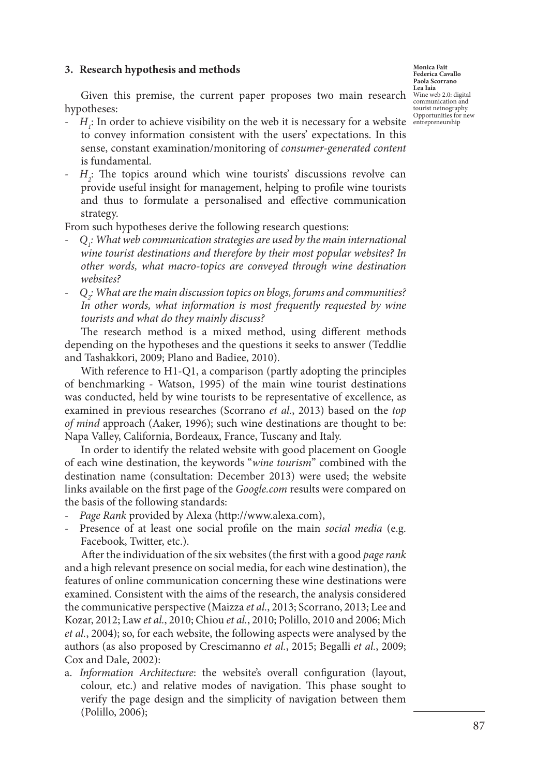#### **3. Research hypothesis and methods**

**Monica Fait Federica Cavallo Paola Scorrano Lea Iaia** Wine web 2.0: digital communication and tourist netnography. Opportunities for new

Given this premise, the current paper proposes two main research hypotheses:

- $H_i$ : In order to achieve visibility on the web it is necessary for a website entrepreneurship to convey information consistent with the users' expectations. In this sense, constant examination/monitoring of *consumer-generated content*  is fundamental.
- *H2* : The topics around which wine tourists' discussions revolve can provide useful insight for management, helping to profile wine tourists and thus to formulate a personalised and effective communication strategy.

From such hypotheses derive the following research questions:

- *Q1 : What web communication strategies are used by the main international wine tourist destinations and therefore by their most popular websites? In other words, what macro-topics are conveyed through wine destination websites?*
- *Q2 : What are the main discussion topics on blogs, forums and communities? In other words, what information is most frequently requested by wine tourists and what do they mainly discuss?*

The research method is a mixed method, using different methods depending on the hypotheses and the questions it seeks to answer (Teddlie and Tashakkori, 2009; Plano and Badiee, 2010).

With reference to H1-Q1, a comparison (partly adopting the principles of benchmarking - Watson, 1995) of the main wine tourist destinations was conducted, held by wine tourists to be representative of excellence, as examined in previous researches (Scorrano *et al.*, 2013) based on the *top of mind* approach (Aaker, 1996); such wine destinations are thought to be: Napa Valley, California, Bordeaux, France, Tuscany and Italy.

In order to identify the related website with good placement on Google of each wine destination, the keywords "*wine tourism*" combined with the destination name (consultation: December 2013) were used; the website links available on the first page of the *Google.com* results were compared on the basis of the following standards:

- *Page Rank* provided by Alexa (http://www.alexa.com),
- Presence of at least one social profile on the main *social media* (e.g. Facebook, Twitter, etc.).

After the individuation of the six websites (the first with a good *page rank*  and a high relevant presence on social media, for each wine destination), the features of online communication concerning these wine destinations were examined. Consistent with the aims of the research, the analysis considered the communicative perspective (Maizza *et al.*, 2013; Scorrano, 2013; Lee and Kozar, 2012; Law *et al.*, 2010; Chiou *et al.*, 2010; Polillo, 2010 and 2006; Mich *et al.*, 2004); so, for each website, the following aspects were analysed by the authors (as also proposed by Crescimanno *et al.*, 2015; Begalli *et al.*, 2009; Cox and Dale, 2002):

a. *Information Architecture*: the website's overall configuration (layout, colour, etc.) and relative modes of navigation. This phase sought to verify the page design and the simplicity of navigation between them (Polillo, 2006);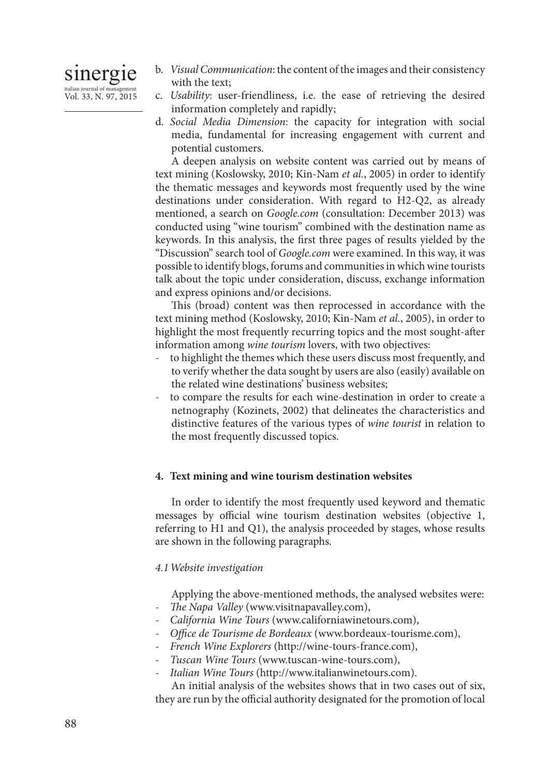

- b. *Visual Communication*: the content of the images and their consistency with the text;
- c. *Usability*: user-friendliness, i.e. the ease of retrieving the desired information completely and rapidly;
- d. *Social Media Dimension*: the capacity for integration with social media, fundamental for increasing engagement with current and potential customers.

A deepen analysis on website content was carried out by means of text mining (Koslowsky, 2010; Kin-Nam *et al.*, 2005) in order to identify the thematic messages and keywords most frequently used by the wine destinations under consideration. With regard to H2-Q2, as already mentioned, a search on *Google.com* (consultation: December 2013) was conducted using "wine tourism" combined with the destination name as keywords. In this analysis, the first three pages of results yielded by the "Discussion" search tool of *Google.com* were examined. In this way, it was possible to identify blogs, forums and communities in which wine tourists talk about the topic under consideration, discuss, exchange information and express opinions and/or decisions.

This (broad) content was then reprocessed in accordance with the text mining method (Koslowsky, 2010; Kin-Nam *et al.*, 2005), in order to highlight the most frequently recurring topics and the most sought-after information among *wine tourism* lovers, with two objectives:

- to highlight the themes which these users discuss most frequently, and to verify whether the data sought by users are also (easily) available on the related wine destinations' business websites;
- to compare the results for each wine-destination in order to create a netnography (Kozinets, 2002) that delineates the characteristics and distinctive features of the various types of *wine tourist* in relation to the most frequently discussed topics.

#### **4. Text mining and wine tourism destination websites**

In order to identify the most frequently used keyword and thematic messages by official wine tourism destination websites (objective 1, referring to H1 and Q1), the analysis proceeded by stages, whose results are shown in the following paragraphs.

#### *4.1Website investigation*

Applying the above-mentioned methods, the analysed websites were:

- *The Napa Valley* (www.visitnapavalley.com),
- *California Wine Tours* (www.californiawinetours.com),
- *Office de Tourisme de Bordeaux* (www.bordeaux-tourisme.com),
- *French Wine Explorers* (http://wine-tours-france.com),
- *Tuscan Wine Tours* (www.tuscan-wine-tours.com),
- *Italian Wine Tours* (http://www.italianwinetours.com).

An initial analysis of the websites shows that in two cases out of six, they are run by the official authority designated for the promotion of local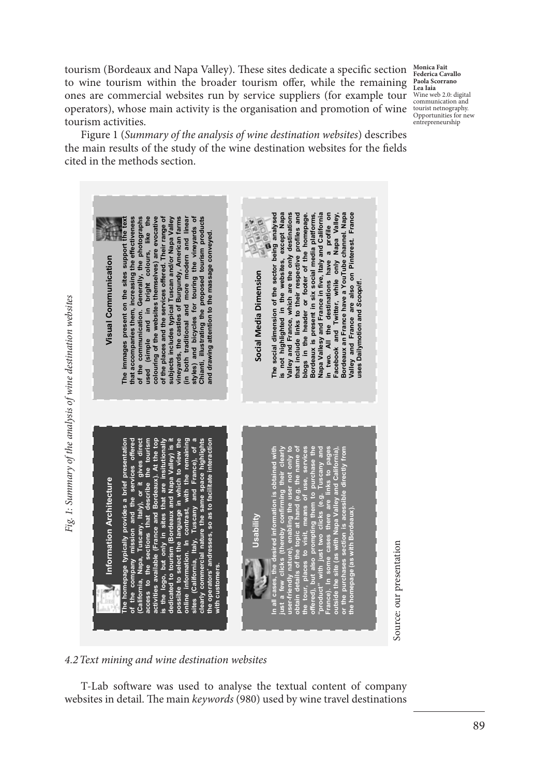tourism (Bordeaux and Napa Valley). These sites dedicate a specific section to wine tourism within the broader tourism offer, while the remaining ones are commercial websites run by service suppliers (for example tour operators), whose main activity is the organisation and promotion of wine tourism activities.

**Monica Fait Federica Cavallo Paola Scorrano Lea Iaia** Wine web 2.0: digital communication and tourist netnography. Opportunities for new entrepreneurship

Figure 1 (*Summary of the analysis of wine destination websites*) describes the main results of the study of the wine destination websites for the fields cited in the methods section.

**The social dimension of the sector being analysed**  is not highlighted in the websites, except Napa<br>Valley and France, which are the only destinations<br>that include links to their respective profiles and **is not highlighted in the websites, except Napa Valley and France, which are the only destinations**  that include links to their respective profiles and<br>blogs in the header or footer of the homepage.<br>Bordeaux is present in six social media platforms, **that include links to their respective profiles and blogs in the header or footer of the homepage. Bordeaux is present in six social media platforms, Napa Vallesy and France in five, Italy and California in two. All the destinations have a profile on Facebook and Twitter, while only Napa Valley, Bordeaux an France have a YouTube channel. Napa Valley and France are also on Pinterest. France**  The social dimension of the sector being analysed Napa Vallesy and France in five, Italy and California<br>in two. All the destinations have a profile on Valley, channel. Napa Valley and France are also on Pinterest. France **The immages present on the sites support the text that accompanies them, increasing the effectiveness of the communication. Generally, the photographs used (simple and in bright colours, like the colouring of the websites themselves) are evocative of the places and the services offered. Their range of subjects includes typical Tuscan and/or Napa Valley vineyards, the castles of Burgundy, American farms (in both traditional and more modern and linear styles) and bicycles for touring the vineyards of Chianti, illustrating the proposed tourism products**  The immages present on the sites support the text<br>that accompanies them, increasing the effectiveness of the communication. Generally, the photographs used (simple and in bright colours, like the<br>colouring of the websites themselves) are evocative<br>of the places and the services offered. Their range of illustrating the proposed tourism products vineyards, the castles of Burgundy, American fams both traditional and more modern and linea subjects includes typical Tuscan and/or Napa Valle and bicycles for touring the vineyards ind drawing attention to the massage conveyed. **and drawing attention to the massage conveyed.** Napa Visual Communication **Visual Communication** Facebook and Twitter, while only Bordeaux an France have a YouTube Social Media Dimension **Social Media Dimension** Dailymotion and Scoopit. **uses Dailymotion and** *Scoopit***!.**Fig. 1: Summary of the analysis of wine destination websites *Fig. 1: Summary of the analysis of wine destination websites* styles) a<br>Chianti, i uses ξ, nation of the user of the state of the state of the state of the state of the state of the state of the state of the state of the state of the state of the state of the state of the state of the state of the state of the s the remaining<br>France), of a **The homepage typically provides a brief presentation of the company mission and the services offered (California, Napa, Tuscany, Italy), or it gives direct access to the sections that describe the tourism activities available (France and Bordeaux). At the top is the logo, but only in sites that are insitutionally dedicated to tourism (Bordeaux and Napa Valley) is it possible to select the language in which to view the online information. In contrast, with the remaining sites (California, Italy, Tuscany and France), of a clearly commercial nature the same space highlights the operators' andresses, so as to facilitate interaction**  gives direct sections that describe the tourism Bordeaux). At the top is the logo, but only in sites that are insitutionally<br>dedicated to tourism (Bordeaux and Napa Valley) is it highlights the operators' andresses, so as to facilitate interaction **In all cases, the desired information is obtained with just a few clicks (thereby confirming their clearly user-friendly nature), enabling the user not only to obtain details of the topic at hand (e.g. the name of the tour, places to visit, means of use, services offered), but also prompting them to purchase the "product" with just two clicks (e.g. Tuscany and France). In some cases there are links to pages outside the site (as with Napa Valley and California), or the purchases section is acessible directly from**  possible to select the language in which to view<br>online information. In contrast, with the remain<br>sites (California, Italy, Tuscany and France), of the services heir<br>not clearly commercial nature the same space Information Architecture **Information Architecture** provides a brief Tuscany, Italy), or s (thereby confirmin<br>ure), enabling the us<br>the topic at hand (e.<br>to visit, means of **the homepage (as with Bordeaux).** mission and activities available (France and **Usability** th Nat est. Source: our presentation Source: our presentation with just م<br>م Napa. company access to the vith customers. **with customers.** California, tour. neal France). offered). 'produc e<br>G <u>م</u> ptai Ē  $5.5$ ৳

#### *4.2Text mining and wine destination websites*

T-Lab software was used to analyse the textual content of company websites in detail. The main *keywords* (980) used by wine travel destinations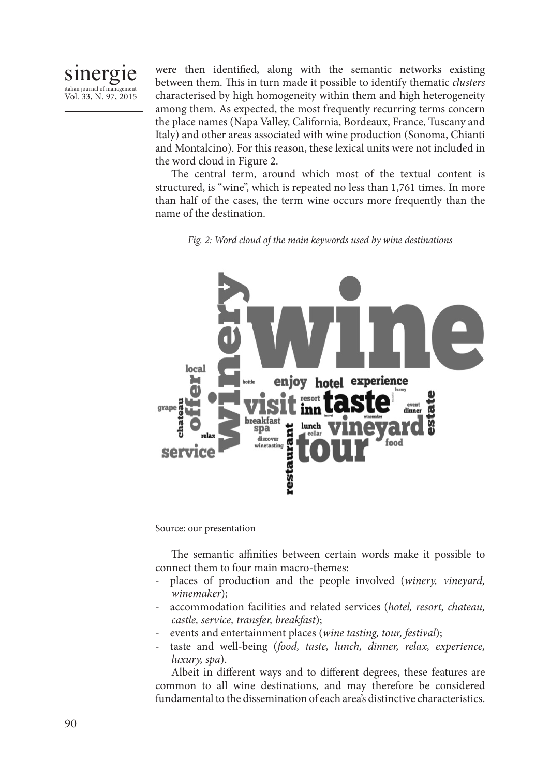

were then identified, along with the semantic networks existing between them. This in turn made it possible to identify thematic *clusters* characterised by high homogeneity within them and high heterogeneity among them. As expected, the most frequently recurring terms concern the place names (Napa Valley, California, Bordeaux, France, Tuscany and Italy) and other areas associated with wine production (Sonoma, Chianti and Montalcino). For this reason, these lexical units were not included in the word cloud in Figure 2.

The central term, around which most of the textual content is structured, is "wine", which is repeated no less than 1,761 times. In more than half of the cases, the term wine occurs more frequently than the name of the destination.

*Fig. 2: Word cloud of the main keywords used by wine destinations*



Source: our presentation

The semantic affinities between certain words make it possible to connect them to four main macro-themes:

- places of production and the people involved (*winery, vineyard, winemaker*);
- accommodation facilities and related services (*hotel, resort, chateau, castle, service, transfer, breakfast*);
- events and entertainment places (*wine tasting, tour, festival*);
- taste and well-being (*food, taste, lunch, dinner, relax, experience, luxury, spa*).

Albeit in different ways and to different degrees, these features are common to all wine destinations, and may therefore be considered fundamental to the dissemination of each area's distinctive characteristics.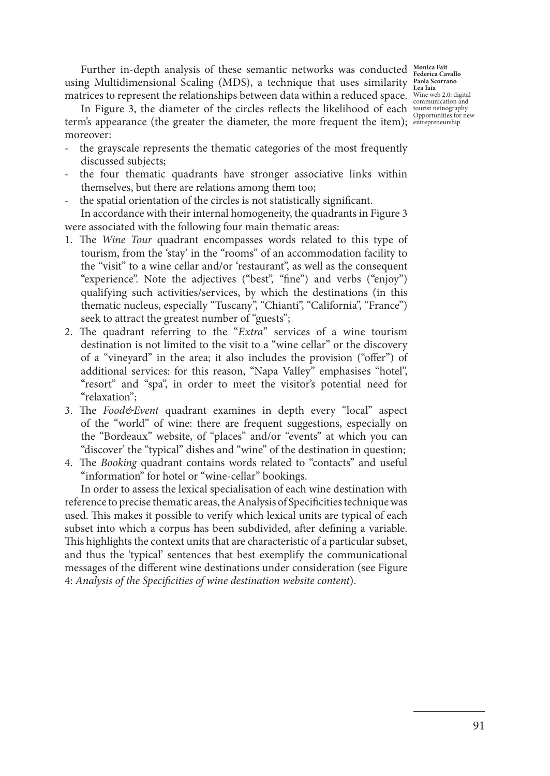Further in-depth analysis of these semantic networks was conducted Monica Fait using Multidimensional Scaling (MDS), a technique that uses similarity **Paola Scorrano Lea Iaia** matrices to represent the relationships between data within a reduced space. Wine web 2.0: digital

communication and tourist netnography. Opportunities for new entrepreneurship

In Figure 3, the diameter of the circles reflects the likelihood of each term's appearance (the greater the diameter, the more frequent the item); moreover:

- the grayscale represents the thematic categories of the most frequently discussed subjects;
- the four thematic quadrants have stronger associative links within themselves, but there are relations among them too;
- the spatial orientation of the circles is not statistically significant.

In accordance with their internal homogeneity, the quadrants in Figure 3 were associated with the following four main thematic areas:

- 1. The *Wine Tour* quadrant encompasses words related to this type of tourism, from the 'stay' in the "rooms" of an accommodation facility to the "visit" to a wine cellar and/or 'restaurant", as well as the consequent "experience". Note the adjectives ("best", "fine") and verbs ("enjoy") qualifying such activities/services, by which the destinations (in this thematic nucleus, especially "Tuscany", "Chianti", "California", "France") seek to attract the greatest number of "guests";
- 2. The quadrant referring to the "*Extra*" services of a wine tourism destination is not limited to the visit to a "wine cellar" or the discovery of a "vineyard" in the area; it also includes the provision ("offer") of additional services: for this reason, "Napa Valley" emphasises "hotel", "resort" and "spa", in order to meet the visitor's potential need for "relaxation";
- 3. The *Food&Event* quadrant examines in depth every "local" aspect of the "world" of wine: there are frequent suggestions, especially on the "Bordeaux" website, of "places" and/or "events" at which you can "discover' the "typical" dishes and "wine" of the destination in question;
- 4. The *Booking* quadrant contains words related to "contacts" and useful "information" for hotel or "wine-cellar" bookings.

In order to assess the lexical specialisation of each wine destination with reference to precise thematic areas, the Analysis of Specificities technique was used. This makes it possible to verify which lexical units are typical of each subset into which a corpus has been subdivided, after defining a variable. This highlights the context units that are characteristic of a particular subset, and thus the 'typical' sentences that best exemplify the communicational messages of the different wine destinations under consideration (see Figure 4: *Analysis of the Specificities of wine destination website content*).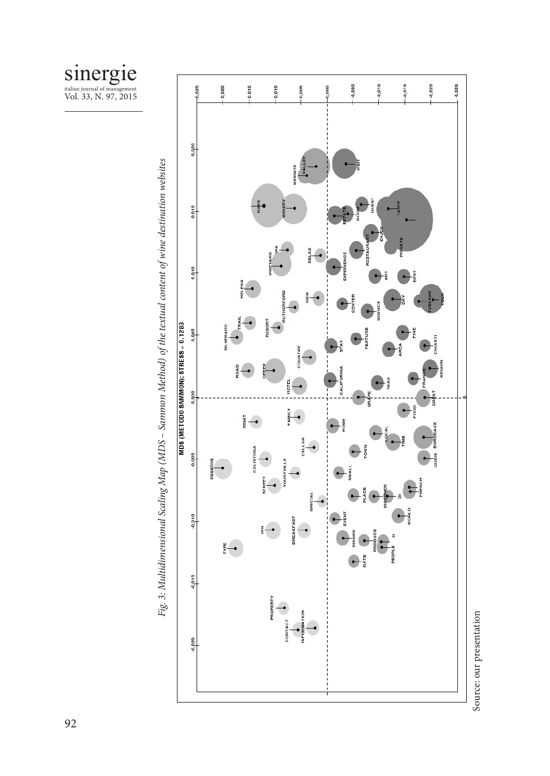



Fig. 3: Multidimensional Scaling Map (MDS - Sammon Method) of the textual content of wine destination websites *Fig. 3: Multidimensional Scaling Map (MDS – Sammon Method) of the textual content of wine destination websites*

Source: our presentation Source: our presentation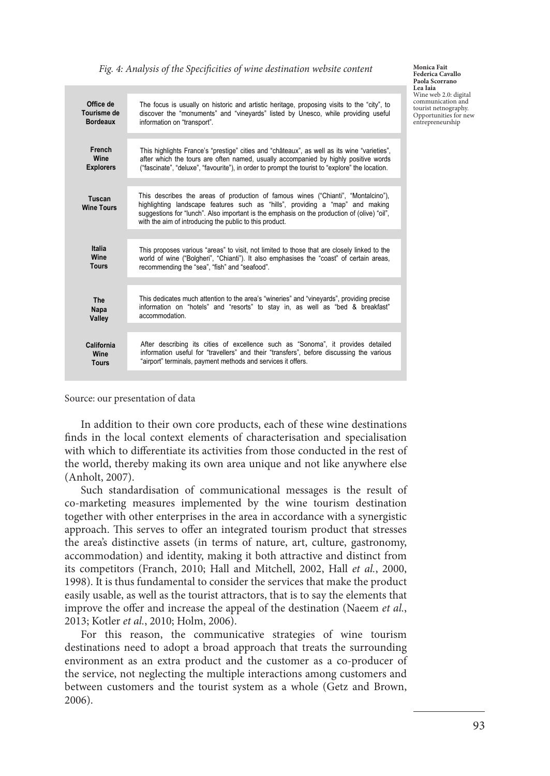| Office de<br>Tourisme de<br><b>Bordeaux</b>  | The focus is usually on historic and artistic heritage, proposing visits to the "city", to<br>discover the "monuments" and "vineyards" listed by Unesco, while providing useful<br>information on "transport".                                                                                                               |
|----------------------------------------------|------------------------------------------------------------------------------------------------------------------------------------------------------------------------------------------------------------------------------------------------------------------------------------------------------------------------------|
| French<br>Wine<br><b>Explorers</b>           | This highlights France's "prestige" cities and "châteaux", as well as its wine "varieties",<br>after which the tours are often named, usually accompanied by highly positive words<br>("fascinate", "deluxe", "favourite"), in order to prompt the tourist to "explore" the location.                                        |
| Tuscan<br><b>Wine Tours</b>                  | This describes the areas of production of famous wines ("Chianti", "Montalcino"),<br>highlighting landscape features such as "hills", providing a "map" and making<br>suggestions for "lunch". Also important is the emphasis on the production of (olive) "oil",<br>with the aim of introducing the public to this product. |
|                                              |                                                                                                                                                                                                                                                                                                                              |
| <b>Italia</b><br><b>Wine</b><br><b>Tours</b> | This proposes various "areas" to visit, not limited to those that are closely linked to the<br>world of wine ("Bolgheri", "Chianti"). It also emphasises the "coast" of certain areas,<br>recommending the "sea", "fish" and "seafood".                                                                                      |
|                                              |                                                                                                                                                                                                                                                                                                                              |
| The<br>Napa<br>Valley                        | This dedicates much attention to the area's "wineries" and "vineyards", providing precise<br>information on "hotels" and "resorts" to stay in, as well as "bed & breakfast"<br>accommodation.                                                                                                                                |
|                                              |                                                                                                                                                                                                                                                                                                                              |
| California<br>Wine<br><b>Tours</b>           | After describing its cities of excellence such as "Sonoma", it provides detailed<br>information useful for "travellers" and their "transfers", before discussing the various<br>"airport" terminals, payment methods and services it offers.                                                                                 |
|                                              |                                                                                                                                                                                                                                                                                                                              |

*Fig. 4: Analysis of the Specificities of wine destination website content* **Monica Fait** 

Source: our presentation of data

In addition to their own core products, each of these wine destinations finds in the local context elements of characterisation and specialisation with which to differentiate its activities from those conducted in the rest of the world, thereby making its own area unique and not like anywhere else (Anholt, 2007).

Such standardisation of communicational messages is the result of co-marketing measures implemented by the wine tourism destination together with other enterprises in the area in accordance with a synergistic approach. This serves to offer an integrated tourism product that stresses the area's distinctive assets (in terms of nature, art, culture, gastronomy, accommodation) and identity, making it both attractive and distinct from its competitors (Franch, 2010; Hall and Mitchell, 2002, Hall *et al.*, 2000, 1998). It is thus fundamental to consider the services that make the product easily usable, as well as the tourist attractors, that is to say the elements that improve the offer and increase the appeal of the destination (Naeem *et al.*, 2013; Kotler *et al.*, 2010; Holm, 2006).

For this reason, the communicative strategies of wine tourism destinations need to adopt a broad approach that treats the surrounding environment as an extra product and the customer as a co-producer of the service, not neglecting the multiple interactions among customers and between customers and the tourist system as a whole (Getz and Brown, 2006).

**Federica Cavallo Paola Scorrano Lea Iaia** Wine web 2.0: digital communication and tourist netnography. Opportunities for new entrepreneurship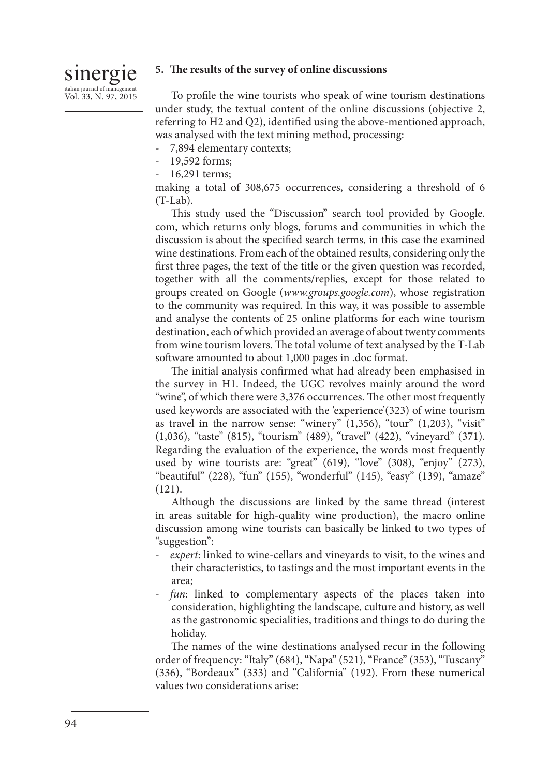# sinergie italian journal of man Vol. 33, N. 97, 2015

## **5. The results of the survey of online discussions**

To profile the wine tourists who speak of wine tourism destinations under study, the textual content of the online discussions (objective 2, referring to H2 and Q2), identified using the above-mentioned approach, was analysed with the text mining method, processing:

- 7,894 elementary contexts;
- 19,592 forms;
- 16,291 terms;

making a total of 308,675 occurrences, considering a threshold of 6 (T-Lab).

This study used the "Discussion" search tool provided by Google. com, which returns only blogs, forums and communities in which the discussion is about the specified search terms, in this case the examined wine destinations. From each of the obtained results, considering only the first three pages, the text of the title or the given question was recorded, together with all the comments/replies, except for those related to groups created on Google (*www.groups.google.com*), whose registration to the community was required. In this way, it was possible to assemble and analyse the contents of 25 online platforms for each wine tourism destination, each of which provided an average of about twenty comments from wine tourism lovers. The total volume of text analysed by the T-Lab software amounted to about 1,000 pages in .doc format.

The initial analysis confirmed what had already been emphasised in the survey in H1. Indeed, the UGC revolves mainly around the word "wine", of which there were 3,376 occurrences. The other most frequently used keywords are associated with the 'experience'(323) of wine tourism as travel in the narrow sense: "winery" (1,356), "tour" (1,203), "visit" (1,036), "taste" (815), "tourism" (489), "travel" (422), "vineyard" (371). Regarding the evaluation of the experience, the words most frequently used by wine tourists are: "great" (619), "love" (308), "enjoy" (273), "beautiful" (228), "fun" (155), "wonderful" (145), "easy" (139), "amaze" (121).

Although the discussions are linked by the same thread (interest in areas suitable for high-quality wine production), the macro online discussion among wine tourists can basically be linked to two types of "suggestion":

- *expert*: linked to wine-cellars and vineyards to visit, to the wines and their characteristics, to tastings and the most important events in the area;
- *fun*: linked to complementary aspects of the places taken into consideration, highlighting the landscape, culture and history, as well as the gastronomic specialities, traditions and things to do during the holiday.

The names of the wine destinations analysed recur in the following order of frequency: "Italy" (684), "Napa" (521), "France" (353), "Tuscany" (336), "Bordeaux" (333) and "California" (192). From these numerical values two considerations arise: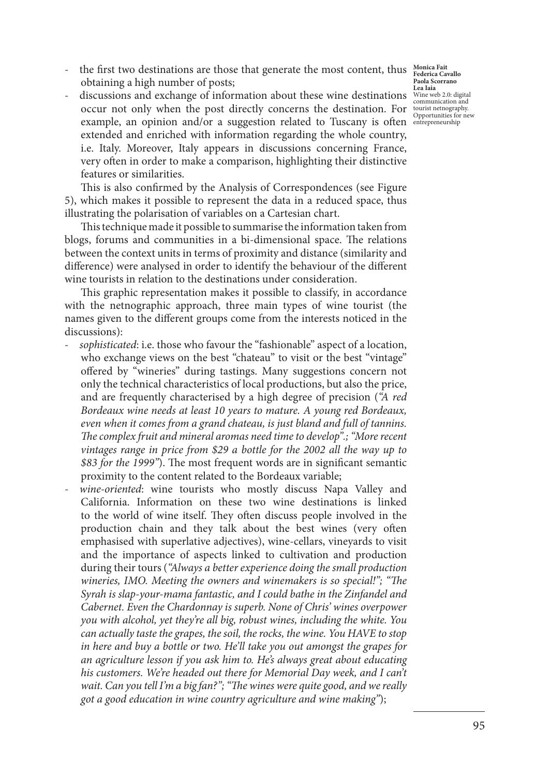- the first two destinations are those that generate the most content, thus **Monica Fait** obtaining a high number of posts;
- discussions and exchange of information about these wine destinations  $\frac{W_{\text{line}}}{W_{\text{sub}}}\frac{W_{\text{line}}}{W_{\text{sub}}}\frac{1}{W_{\text{sub}}}\frac{d}{d\theta}$ communication and<br>occur not only when the post directly concerns the destination. For tourist netnography. example, an opinion and/or a suggestion related to Tuscany is often entrepreneurship extended and enriched with information regarding the whole country, i.e. Italy. Moreover, Italy appears in discussions concerning France, very often in order to make a comparison, highlighting their distinctive features or similarities.

This is also confirmed by the Analysis of Correspondences (see Figure 5), which makes it possible to represent the data in a reduced space, thus illustrating the polarisation of variables on a Cartesian chart.

This technique made it possible to summarise the information taken from blogs, forums and communities in a bi-dimensional space. The relations between the context units in terms of proximity and distance (similarity and difference) were analysed in order to identify the behaviour of the different wine tourists in relation to the destinations under consideration.

This graphic representation makes it possible to classify, in accordance with the netnographic approach, three main types of wine tourist (the names given to the different groups come from the interests noticed in the discussions):

- *sophisticated*: i.e. those who favour the "fashionable" aspect of a location, who exchange views on the best "chateau" to visit or the best "vintage" offered by "wineries" during tastings. Many suggestions concern not only the technical characteristics of local productions, but also the price, and are frequently characterised by a high degree of precision (*"A red Bordeaux wine needs at least 10 years to mature. A young red Bordeaux, even when it comes from a grand chateau, is just bland and full of tannins. The complex fruit and mineral aromas need time to develop".; "More recent vintages range in price from \$29 a bottle for the 2002 all the way up to \$83 for the 1999"*). The most frequent words are in significant semantic proximity to the content related to the Bordeaux variable;
- wine-oriented: wine tourists who mostly discuss Napa Valley and California. Information on these two wine destinations is linked to the world of wine itself. They often discuss people involved in the production chain and they talk about the best wines (very often emphasised with superlative adjectives), wine-cellars, vineyards to visit and the importance of aspects linked to cultivation and production during their tours (*"Always a better experience doing the small production wineries, IMO. Meeting the owners and winemakers is so special!"; "The Syrah is slap-your-mama fantastic, and I could bathe in the Zinfandel and Cabernet. Even the Chardonnay is superb. None of Chris' wines overpower you with alcohol, yet they're all big, robust wines, including the white. You can actually taste the grapes, the soil, the rocks, the wine. You HAVE to stop in here and buy a bottle or two. He'll take you out amongst the grapes for an agriculture lesson if you ask him to. He's always great about educating*  his customers. We're headed out there for Memorial Day week, and I can't *wait. Can you tell I'm a big fan?"; "The wines were quite good, and we really got a good education in wine country agriculture and wine making"*);

**Paola Scorrano Lea Iaia**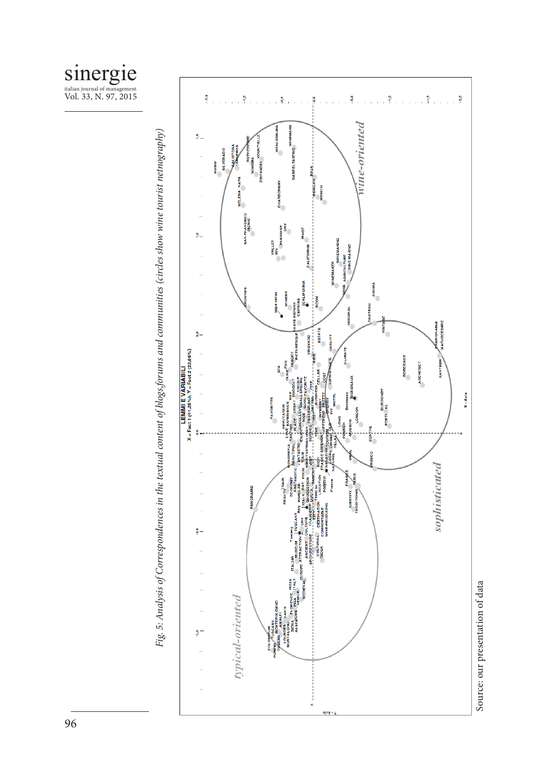



Fig. 5: Analysis of Correspondences in the textual content of blogs,forums and communities (circles show wine tourist netnography) *Fig. 5: Analysis of Correspondences in the textual content of blogs,forums and communities (circles show wine tourist netnography)*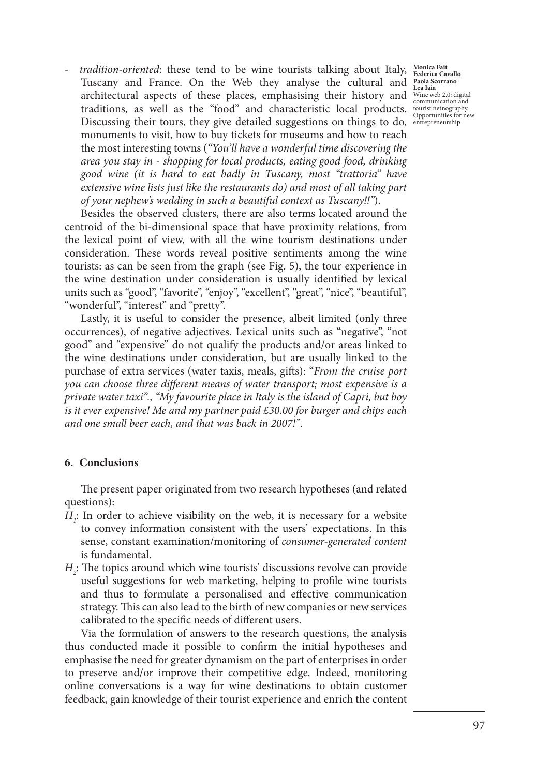- *tradition-oriented*: these tend to be wine tourists talking about Italy, Monica Fait Tuscany and France. On the Web they analyse the cultural and **Paola Scorrano Lea Iaia** architectural aspects of these places, emphasising their history and Wineweb 2.0: digital traditions, as well as the "food" and characteristic local products. Discussing their tours, they give detailed suggestions on things to do, entrepreneurshipmonuments to visit, how to buy tickets for museums and how to reach the most interesting towns (*"You'll have a wonderful time discovering the area you stay in - shopping for local products, eating good food, drinking good wine (it is hard to eat badly in Tuscany, most "trattoria" have extensive wine lists just like the restaurants do) and most of all taking part of your nephew's wedding in such a beautiful context as Tuscany!!"*).

Besides the observed clusters, there are also terms located around the centroid of the bi-dimensional space that have proximity relations, from the lexical point of view, with all the wine tourism destinations under consideration. These words reveal positive sentiments among the wine tourists: as can be seen from the graph (see Fig. 5), the tour experience in the wine destination under consideration is usually identified by lexical units such as "good", "favorite", "enjoy", "excellent", "great", "nice", "beautiful", "wonderful", "interest" and "pretty".

Lastly, it is useful to consider the presence, albeit limited (only three occurrences), of negative adjectives. Lexical units such as "negative", "not good" and "expensive" do not qualify the products and/or areas linked to the wine destinations under consideration, but are usually linked to the purchase of extra services (water taxis, meals, gifts): "*From the cruise port you can choose three different means of water transport; most expensive is a private water taxi"., "My favourite place in Italy is the island of Capri, but boy is it ever expensive! Me and my partner paid £30.00 for burger and chips each and one small beer each, and that was back in 2007!"*.

#### **6. Conclusions**

The present paper originated from two research hypotheses (and related questions):

- $H_i$ : In order to achieve visibility on the web, it is necessary for a website to convey information consistent with the users' expectations. In this sense, constant examination/monitoring of *consumer-generated content*  is fundamental.
- *H*<sub>2</sub>: The topics around which wine tourists' discussions revolve can provide useful suggestions for web marketing, helping to profile wine tourists and thus to formulate a personalised and effective communication strategy. This can also lead to the birth of new companies or new services calibrated to the specific needs of different users.

Via the formulation of answers to the research questions, the analysis thus conducted made it possible to confirm the initial hypotheses and emphasise the need for greater dynamism on the part of enterprises in order to preserve and/or improve their competitive edge. Indeed, monitoring online conversations is a way for wine destinations to obtain customer feedback, gain knowledge of their tourist experience and enrich the content

communication and tourist netnography. Opportunities for new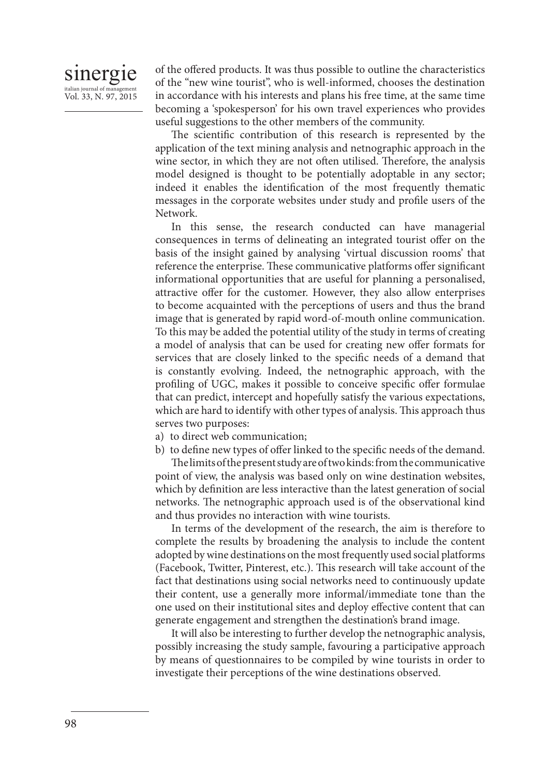# sinergie italian journal of managem Vol. 33, N. 97, 2015

of the offered products. It was thus possible to outline the characteristics of the "new wine tourist", who is well-informed, chooses the destination in accordance with his interests and plans his free time, at the same time becoming a 'spokesperson' for his own travel experiences who provides useful suggestions to the other members of the community.

The scientific contribution of this research is represented by the application of the text mining analysis and netnographic approach in the wine sector, in which they are not often utilised. Therefore, the analysis model designed is thought to be potentially adoptable in any sector; indeed it enables the identification of the most frequently thematic messages in the corporate websites under study and profile users of the Network.

In this sense, the research conducted can have managerial consequences in terms of delineating an integrated tourist offer on the basis of the insight gained by analysing 'virtual discussion rooms' that reference the enterprise. These communicative platforms offer significant informational opportunities that are useful for planning a personalised, attractive offer for the customer. However, they also allow enterprises to become acquainted with the perceptions of users and thus the brand image that is generated by rapid word-of-mouth online communication. To this may be added the potential utility of the study in terms of creating a model of analysis that can be used for creating new offer formats for services that are closely linked to the specific needs of a demand that is constantly evolving. Indeed, the netnographic approach, with the profiling of UGC, makes it possible to conceive specific offer formulae that can predict, intercept and hopefully satisfy the various expectations, which are hard to identify with other types of analysis. This approach thus serves two purposes:

- a) to direct web communication;
- b) to define new types of offer linked to the specific needs of the demand.

The limits of the present study are of two kinds: from the communicative point of view, the analysis was based only on wine destination websites, which by definition are less interactive than the latest generation of social networks. The netnographic approach used is of the observational kind and thus provides no interaction with wine tourists.

In terms of the development of the research, the aim is therefore to complete the results by broadening the analysis to include the content adopted by wine destinations on the most frequently used social platforms (Facebook, Twitter, Pinterest, etc.). This research will take account of the fact that destinations using social networks need to continuously update their content, use a generally more informal/immediate tone than the one used on their institutional sites and deploy effective content that can generate engagement and strengthen the destination's brand image.

It will also be interesting to further develop the netnographic analysis, possibly increasing the study sample, favouring a participative approach by means of questionnaires to be compiled by wine tourists in order to investigate their perceptions of the wine destinations observed.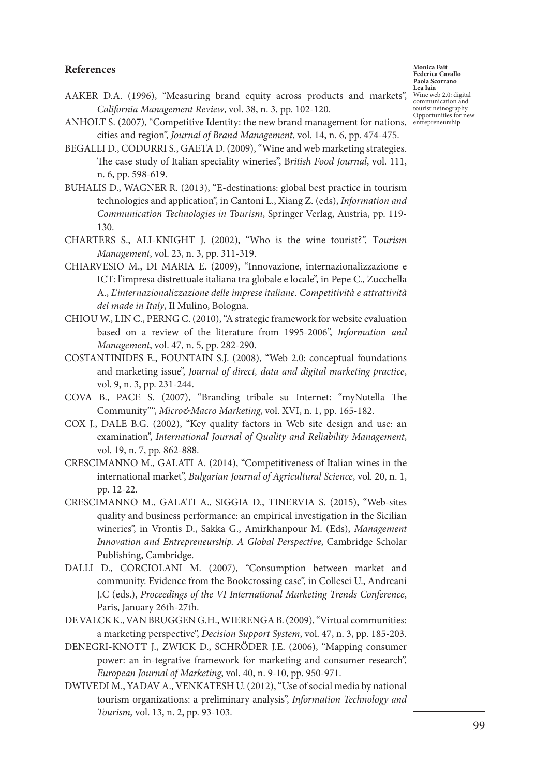#### **References**

**Monica Fait Federica Cavallo Paola Scorrano Lea Iaia** Wine web 2.0: digital communication and tourist netnography. Opportunities for new

- AAKER D.A. (1996), "Measuring brand equity across products and markets", *California Management Review*, vol. 38, n. 3, pp. 102-120.
- ANHOLT S. (2007), "Competitive Identity: the new brand management for nations, entrepreneurshipcities and region", *Journal of Brand Management*, vol. 14, n. 6, pp. 474-475.
- BEGALLI D., CODURRI S., GAETA D. (2009), "Wine and web marketing strategies. The case study of Italian speciality wineries", B*ritish Food Journal*, vol. 111, n. 6, pp. 598-619.
- BUHALIS D., WAGNER R. (2013), "E-destinations: global best practice in tourism technologies and application", in Cantoni L., Xiang Z. (eds), *Information and Communication Technologies in Tourism*, Springer Verlag, Austria, pp. 119- 130.
- CHARTERS S., ALI-KNIGHT J. (2002), "Who is the wine tourist?", T*ourism Management*, vol. 23, n. 3, pp. 311-319.
- CHIARVESIO M., DI MARIA E. (2009), "Innovazione, internazionalizzazione e ICT: l'impresa distrettuale italiana tra globale e locale", in Pepe C., Zucchella A., *L'internazionalizzazione delle imprese italiane. Competitività e attrattività del made in Italy*, Il Mulino, Bologna.
- CHIOU W., LIN C., PERNG C. (2010), "A strategic framework for website evaluation based on a review of the literature from 1995-2006", *Information and Management*, vol. 47, n. 5, pp. 282-290.
- COSTANTINIDES E., FOUNTAIN S.J. (2008), "Web 2.0: conceptual foundations and marketing issue", *Journal of direct, data and digital marketing practice*, vol. 9, n. 3, pp. 231-244.
- COVA B., PACE S. (2007), "Branding tribale su Internet: "myNutella The Community"", *Micro&Macro Marketing*, vol. XVI, n. 1, pp. 165-182.
- COX J., DALE B.G. (2002), "Key quality factors in Web site design and use: an examination", *International Journal of Quality and Reliability Management*, vol. 19, n. 7, pp. 862-888.
- CRESCIMANNO M., GALATI A. (2014), "Competitiveness of Italian wines in the international market", *Bulgarian Journal of Agricultural Science*, vol. 20, n. 1, pp. 12-22.
- CRESCIMANNO M., GALATI A., SIGGIA D., TINERVIA S. (2015), "Web-sites quality and business performance: an empirical investigation in the Sicilian wineries", in Vrontis D., Sakka G., Amirkhanpour M. (Eds), *Management Innovation and Entrepreneurship. A Global Perspective*, Cambridge Scholar Publishing, Cambridge.
- DALLI D., CORCIOLANI M. (2007), "Consumption between market and community. Evidence from the Bookcrossing case", in Collesei U., Andreani J.C (eds.), *Proceedings of the VI International Marketing Trends Conference*, Paris, January 26th-27th.
- DE VALCK K., VAN BRUGGEN G.H., WIERENGA B. (2009), "Virtual communities: a marketing perspective", *Decision Support System*, vol. 47, n. 3, pp. 185-203.
- DENEGRI-KNOTT J., ZWICK D., SCHRÖDER J.E. (2006), "Mapping consumer power: an in-tegrative framework for marketing and consumer research", *European Journal of Marketing*, vol. 40, n. 9-10, pp. 950-971.
- DWIVEDI M., YADAV A., VENKATESH U. (2012), "Use of social media by national tourism organizations: a preliminary analysis", *Information Technology and Tourism,* vol. 13, n. 2, pp. 93-103.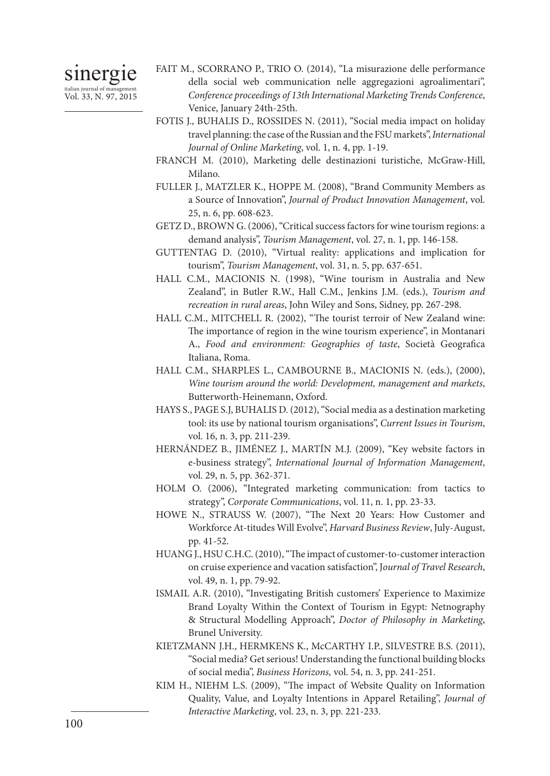# sinergie

italian journal of management Vol. 33, N. 97, 2015

- FAIT M., SCORRANO P., TRIO O. (2014), "La misurazione delle performance della social web communication nelle aggregazioni agroalimentari", *Conference proceedings of 13th International Marketing Trends Conference*, Venice, January 24th-25th.
- FOTIS J., BUHALIS D., ROSSIDES N. (2011), "Social media impact on holiday travel planning: the case of the Russian and the FSU markets", *International Journal of Online Marketing*, vol. 1, n. 4, pp. 1-19.
- FRANCH M. (2010), Marketing delle destinazioni turistiche, McGraw-Hill, Milano.
- FULLER J., MATZLER K., HOPPE M. (2008), "Brand Community Members as a Source of Innovation", *Journal of Product Innovation Management*, vol. 25, n. 6, pp. 608-623.
- GETZ D., BROWN G. (2006), "Critical success factors for wine tourism regions: a demand analysis", *Tourism Management*, vol. 27, n. 1, pp. 146-158.
- GUTTENTAG D. (2010), "Virtual reality: applications and implication for tourism", *Tourism Management*, vol. 31, n. 5, pp. 637-651.
- HALL C.M., MACIONIS N. (1998), "Wine tourism in Australia and New Zealand", in Butler R.W., Hall C.M., Jenkins J.M. (eds.), *Tourism and recreation in rural areas*, John Wiley and Sons, Sidney, pp. 267-298.
- HALL C.M., MITCHELL R. (2002), "The tourist terroir of New Zealand wine: The importance of region in the wine tourism experience", in Montanari A., *Food and environment: Geographies of taste*, Società Geografica Italiana, Roma.
- HALL C.M., SHARPLES L., CAMBOURNE B., MACIONIS N. (eds.), (2000), *Wine tourism around the world: Development, management and markets*, Butterworth-Heinemann, Oxford.
- HAYS S., PAGE S.J, BUHALIS D. (2012), "Social media as a destination marketing tool: its use by national tourism organisations", *Current Issues in Tourism*, vol. 16, n. 3, pp. 211-239.
- HERNÁNDEZ B., JIMÉNEZ J., MARTÍN M.J. (2009), "Key website factors in e-business strategy", *International Journal of Information Management*, vol. 29, n. 5, pp. 362-371.
- HOLM O. (2006), "Integrated marketing communication: from tactics to strategy", *Corporate Communications*, vol. 11, n. 1, pp. 23-33.
- HOWE N., STRAUSS W. (2007), "The Next 20 Years: How Customer and Workforce At-titudes Will Evolve", *Harvard Business Review*, July-August, pp. 41-52.
- HUANG J., HSU C.H.C. (2010), "The impact of customer-to-customer interaction on cruise experience and vacation satisfaction", J*ournal of Travel Research*, vol. 49, n. 1, pp. 79-92.
- ISMAIL A.R. (2010), "Investigating British customers' Experience to Maximize Brand Loyalty Within the Context of Tourism in Egypt: Netnography & Structural Modelling Approach", *Doctor of Philosophy in Marketing*, Brunel University.
- KIETZMANN J.H., HERMKENS K., McCARTHY I.P., SILVESTRE B.S. (2011), "Social media? Get serious! Understanding the functional building blocks of social media", *Business Horizons,* vol. 54, n. 3, pp. 241-251.
- KIM H., NIEHM L.S. (2009), "The impact of Website Quality on Information Quality, Value, and Loyalty Intentions in Apparel Retailing", *Journal of Interactive Marketing*, vol. 23, n. 3, pp. 221-233.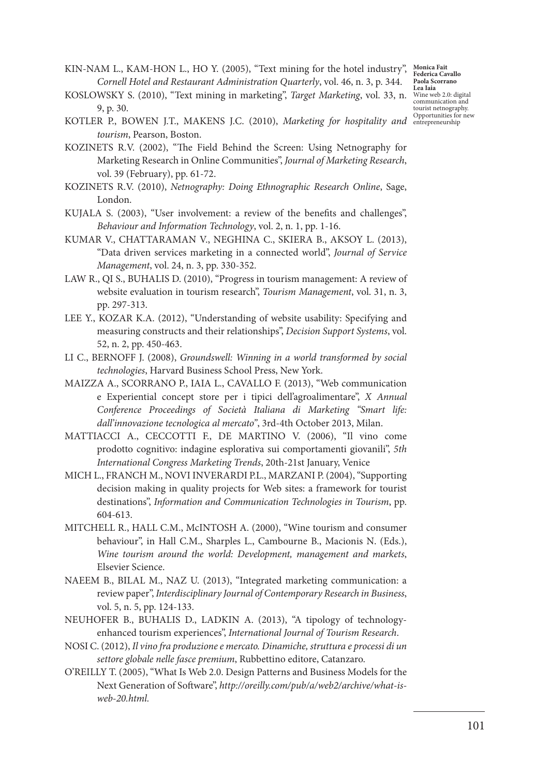KIN-NAM L., KAM-HON L., HO Y. (2005), "Text mining for the hotel industry", *Monica Fait Cornell Hotel and Restaurant Administration Quarterly*, vol. 46, n. 3, p. 344.

- KOSLOWSKY S. (2010), "Text mining in marketing", *Target Marketing*, vol. 33, n. Wine web 2.0: digital 9, p. 30.
- KOTLER P., BOWEN J.T., MAKENS J.C. (2010), *Marketing for hospitality and* entrepreneurship *tourism*, Pearson, Boston.
- KOZINETS R.V. (2002), "The Field Behind the Screen: Using Netnography for Marketing Research in Online Communities", *Journal of Marketing Research*, vol. 39 (February), pp. 61-72.
- KOZINETS R.V. (2010), *Netnography: Doing Ethnographic Research Online*, Sage, London.
- KUJALA S. (2003), "User involvement: a review of the benefits and challenges", *Behaviour and Information Technology*, vol. 2, n. 1, pp. 1-16.
- KUMAR V., CHATTARAMAN V., NEGHINA C., SKIERA B., AKSOY L. (2013), "Data driven services marketing in a connected world", *Journal of Service Management*, vol. 24, n. 3, pp. 330-352.
- LAW R., QI S., BUHALIS D. (2010), "Progress in tourism management: A review of website evaluation in tourism research", *Tourism Management*, vol. 31, n. 3, pp. 297-313.
- LEE Y., KOZAR K.A. (2012), "Understanding of website usability: Specifying and measuring constructs and their relationships", *Decision Support Systems*, vol. 52, n. 2, pp. 450-463.
- LI C., BERNOFF J. (2008), *Groundswell: Winning in a world transformed by social technologies*, Harvard Business School Press, New York.
- MAIZZA A., SCORRANO P., IAIA L., CAVALLO F. (2013), "Web communication e Experiential concept store per i tipici dell'agroalimentare", *X Annual Conference Proceedings of Società Italiana di Marketing "Smart life: dall'innovazione tecnologica al mercato"*, 3rd-4th October 2013, Milan.
- MATTIACCI A., CECCOTTI F., DE MARTINO V. (2006), "Il vino come prodotto cognitivo: indagine esplorativa sui comportamenti giovanili", *5th International Congress Marketing Trends*, 20th-21st January, Venice
- MICH L., FRANCH M., NOVI INVERARDI P.L., MARZANI P. (2004), "Supporting decision making in quality projects for Web sites: a framework for tourist destinations", *Information and Communication Technologies in Tourism*, pp. 604-613.
- MITCHELL R., HALL C.M., McINTOSH A. (2000), "Wine tourism and consumer behaviour", in Hall C.M., Sharples L., Cambourne B., Macionis N. (Eds.), *Wine tourism around the world: Development, management and markets*, Elsevier Science.
- NAEEM B., BILAL M., NAZ U. (2013), "Integrated marketing communication: a review paper", *Interdisciplinary Journal of Contemporary Research in Business*, vol. 5, n. 5, pp. 124-133.
- NEUHOFER B., BUHALIS D., LADKIN A. (2013), "A tipology of technologyenhanced tourism experiences", *International Journal of Tourism Research*.
- NOSI C. (2012), *Il vino fra produzione e mercato. Dinamiche, struttura e processi di un settore globale nelle fasce premium*, Rubbettino editore, Catanzaro.
- O'REILLY T. (2005), "What Is Web 2.0. Design Patterns and Business Models for the Next Generation of Software", *http://oreilly.com/pub/a/web2/archive/what-isweb-20.html.*

**Federica Cavallo Paola Scorrano Lea Iaia** communication and tourist netnography.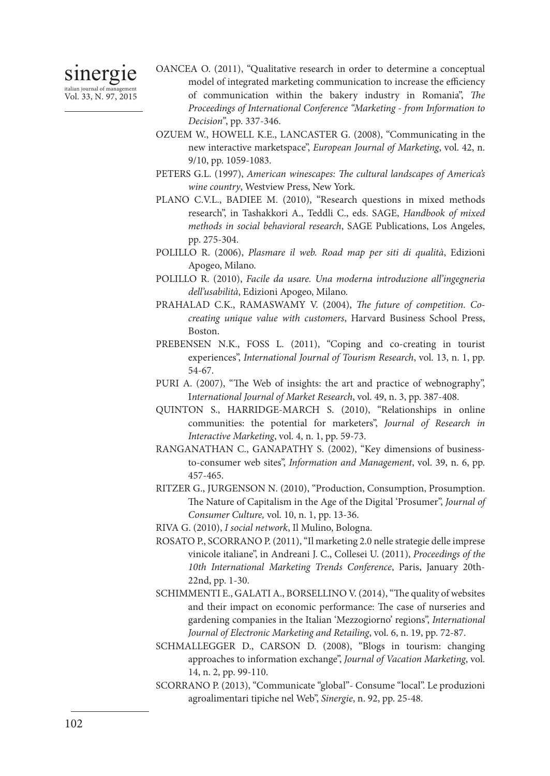- OANCEA O. (2011), "Qualitative research in order to determine a conceptual model of integrated marketing communication to increase the efficiency of communication within the bakery industry in Romania", *The Proceedings of International Conference "Marketing - from Information to Decision"*, pp. 337-346.
- OZUEM W., HOWELL K.E., LANCASTER G. (2008), "Communicating in the new interactive marketspace", *European Journal of Marketing*, vol. 42, n. 9/10, pp. 1059-1083.
- PETERS G.L. (1997), *American winescapes: The cultural landscapes of America's wine country*, Westview Press, New York.
- PLANO C.V.L., BADIEE M. (2010), "Research questions in mixed methods research", in Tashakkori A., Teddli C., eds. SAGE, *Handbook of mixed methods in social behavioral research*, SAGE Publications, Los Angeles, pp. 275-304.
- POLILLO R. (2006), *Plasmare il web. Road map per siti di qualità*, Edizioni Apogeo, Milano.
- POLILLO R. (2010), *Facile da usare. Una moderna introduzione all'ingegneria dell'usabilità*, Edizioni Apogeo, Milano.
- PRAHALAD C.K., RAMASWAMY V. (2004), *The future of competition. Cocreating unique value with customers*, Harvard Business School Press, Boston.
- PREBENSEN N.K., FOSS L. (2011), "Coping and co-creating in tourist experiences", *International Journal of Tourism Research*, vol. 13, n. 1, pp. 54-67.
- PURI A. (2007), "The Web of insights: the art and practice of webnography", I*nternational Journal of Market Research*, vol. 49, n. 3, pp. 387-408.
- QUINTON S., HARRIDGE-MARCH S. (2010), "Relationships in online communities: the potential for marketers", *Journal of Research in Interactive Marketing*, vol. 4, n. 1, pp. 59-73.
- RANGANATHAN C., GANAPATHY S. (2002), "Key dimensions of businessto-consumer web sites", *Information and Management*, vol. 39, n. 6, pp. 457-465.
- RITZER G., JURGENSON N. (2010), "Production, Consumption, Prosumption. The Nature of Capitalism in the Age of the Digital 'Prosumer", *Journal of Consumer Culture,* vol. 10, n. 1, pp. 13-36.
- RIVA G. (2010), *I social network*, Il Mulino, Bologna.
- ROSATO P., SCORRANO P. (2011), "Il marketing 2.0 nelle strategie delle imprese vinicole italiane", in Andreani J. C., Collesei U. (2011), *Proceedings of the 10th International Marketing Trends Conference*, Paris, January 20th-22nd, pp. 1-30.
- SCHIMMENTI E., GALATI A., BORSELLINO V. (2014), "The quality of websites and their impact on economic performance: The case of nurseries and gardening companies in the Italian 'Mezzogiorno' regions", *International Journal of Electronic Marketing and Retailing*, vol. 6, n. 19, pp. 72-87.
- SCHMALLEGGER D., CARSON D. (2008), "Blogs in tourism: changing approaches to information exchange", *Journal of Vacation Marketing*, vol. 14, n. 2, pp. 99-110.
- SCORRANO P. (2013), "Communicate "global"- Consume "local". Le produzioni agroalimentari tipiche nel Web", *Sinergie*, n. 92, pp. 25-48.